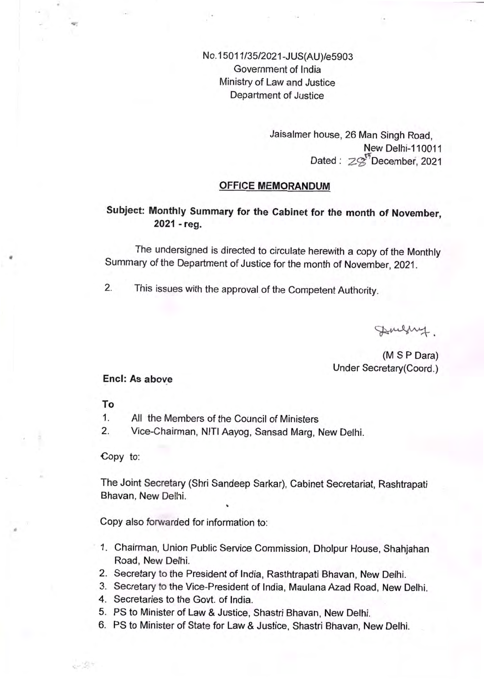No.150 11/35/2021-JUS(AU}/e5903 Government of India Ministry of Law and Justice Department of Justice

> Jaisalmer house, 26 Man Singh Road, **New Delhi-110011** Dated: *Z.*<sup>off</sup> December, 2021

#### **OFFICE MEMORANDUM**

# **Subject: Monthly Summary for the Cabinet for the month of November, 2021 - reg.**

The undersigned is directed to circulate herewith a copy of the Monthly Summary of the Department of Justice for the month of November, 2021.

2. This issues with the approval of the Competent Authority.

Julyny.

(M S P Dara) Under Secretary(Coord.}

#### **Encl: As above**

### **To**

•

- 1. All the Members of the Council of Ministers
- 2. Vice-Chairman, NITI Aayog, Sansad Marg, New Delhi.

#### Copy to:

The Joint Secretary (Shri Sandeep Sarkar), Cabinet Secretariat, Rashtrapati Shavan, New Delhi.

Copy also forwarded for information to:

- 1. Chairman, Union Public Service Commission, Dholpur House, Shahjahan Road, New Delhi.
- 2. Secretary to the President of India, Rasthtrapati Shavan, New Delhi.
- 3. Secretary to the Vice-President of India, Maulana Azad Road, New Delhi.
- 4. Secretaries to the Govt. of India.
- 5. PS to Minister of Law & Justice, Shastri Shavan, New Delhi.
- 6. PS to Minister of State for Law & Justice, Shastri Shavan, New Delhi.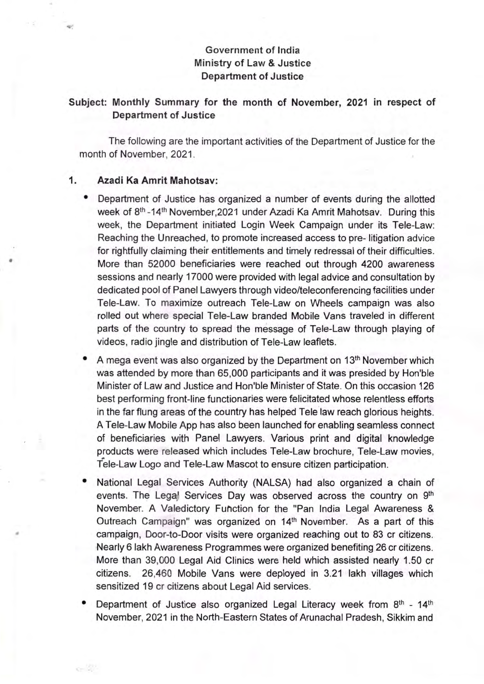## Government of India Ministry of Law & Justice Department of Justice

## Subject: Monthly Summary for the month of November, 2021 in respect of Department of Justice

The following are the important activities of the Department of Justice for the month of November, 2021.

#### 1. Azadi Ka Amrit Mahotsav:

•

in 1

o lit

- Department of Justice has organized a number of events during the allotted week of 8<sup>th</sup> -14<sup>th</sup> November, 2021 under Azadi Ka Amrit Mahotsav. During this week, the Department initiated Login Week Campaign under its Tele-Law: Reaching the Unreached, to promote increased access to pre- litigation advice for rightfully claiming their entitlements and timely redressal of their difficulties. More than 52000 beneficiaries were reached out through 4200 awareness sessions and nearly 17000 were provided with legal advice and consultation by dedicated pool of Panel Lawyers through video/teleconferencing facilities under Tele-Law. To maximize outreach Tele-Law on Wheels campaign was also rolled out where special Tele-Law branded Mobile Vans traveled in different parts of the country to spread the message of Tele-Law through playing of videos, radio jingle and distribution of Tele-Law leaflets.
- A mega event was also organized by the Department on  $13<sup>th</sup>$  November which was attended by more than 65,000 participants and it was presided by Hon'ble Minister of Law and Justice and Hon'ble Minister of State. On this occasion 126 best performing front-line functionaries were felicitated whose relentless efforts in the far flung areas of the country has helped Tele law reach glorious heights. A Tele-Law Mobile App has also been launched for enabling seamless connect of beneficiaries with Panel Lawyers. Various print and digital knowledge products were released which includes Tele-Law brochure, Tele-Law movies, Tele-Law Logo and Tele-Law Mascot to ensure citizen participation.
- National Legal Services Authority (NALSA) had also organized a chain of events. The Legal Services Day was observed across the country on 9th November. A Valedictory Function for the "Pan India Legal Awareness & Outreach Campaign" was organized on 14<sup>th</sup> November. As a part of this campaign, Door-to-Door visits were organized reaching out to 83 cr citizens. Nearly 6 lakh Awareness Programmes were organized benefiting 26 cr citizens. More than 39,000 Legal Aid Clinics were held which assisted nearly 1.50 cr citizens. 26,460 Mobile Vans were deployed in 3.21 lakh villages which sensitized 19 cr citizens about Legal Aid services.
- Department of Justice also organized Legal Literacy week from 8<sup>th</sup> 14<sup>th</sup> November, 2021 in the North-Eastern States of Arunachal Pradesh, Sikkim and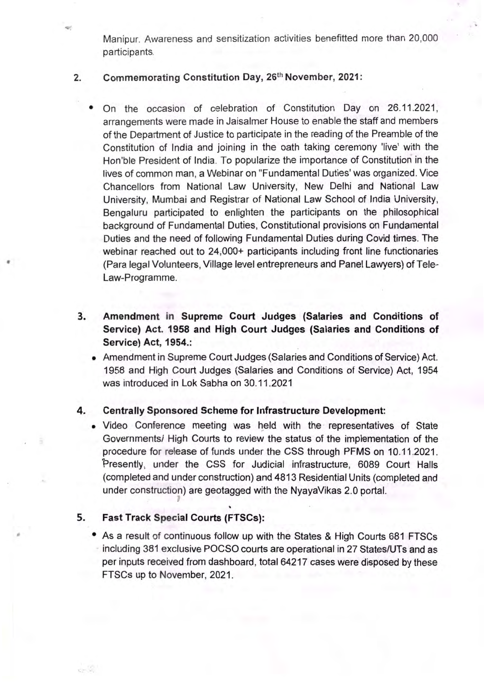Manipur. Awareness and sensitization activities benefitted more than 20,000 participants.

### 2. Commemorating Constitution Day, 26<sup>th</sup> November, 2021:

- On the occasion of celebration of Constitution Day on 26.11.2021, arrangements were made in Jaisalmer House to enable the staff and members of the Department of Justice to participate in the reading of the Preamble of the Constitution of India and joining in the oath taking ceremony 'live' with the Hon'ble President of India. To popularize the importance of Constitution in the lives of common man, a Webinar on "Fundamental Duties' was organized. Vice Chancellors from National Law University, New Delhi and National Law University, Mumbai and Registrar of National Law School of India University, Bengaluru participated to enlighten the participants on the philosophical background of Fundamental Duties, Constitutional provisions on Fundamental Duties and the need of following Fundamental Duties during Covid times. The webinar reached out to 24,000+ participants including front line functionaries (Para legal Volunteers, Village level entrepreneurs and Panel Lawyers) of Tele-Law-Programme.
- 3. Amendment in Supreme Court Judges (Salaries and Conditions of Service) Act. 1958 and High Court Judges (Salaries and Conditions of Service) Act, 1954.:
	- Amendment in Supreme Court Judges (Salaries and Conditions of Service) Act. 1958 and High Court Judges (Salaries and Conditions of Service) Act, 1954 was introduced in Lok Sabha on 30.11.2021

#### 4. Centrally Sponsored Scheme for Infrastructure Development:

• Video Conference meeting was held with the representatives of State Governments/ High Courts to review the status of the implementation of the procedure for release of funds under the CSS through PFMS on 10.11.2021. Presently, under the CSS for Judicial infrastructure, 6089 Court Halls (completed and under construction) and 4813 Residential Units (completed and under construction) are geotagged with the NyayaVikas 2.0 portal.

#### 5. Fast Track Special Courts (FTSCs):

er<sup>. 19</sup>

•

si l

• As a result of continuous follow up with the States & High Courts 681 FTSCs including 381 exclusive POCSO courts are operational in 27 States/UTs and as per inputs received from dashboard, total 64217 cases were disposed by these FTSCs up to November, 2021.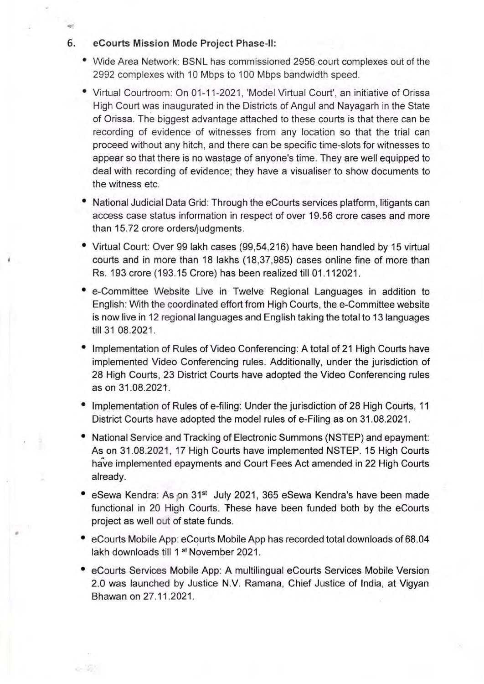6. eCourts Mission Mode Project Phase-II:

- Wide Area Network: BSNL has commissioned 2956 court complexes out of the 2992 complexes with 10 Mbps to 100 Mbps bandwidth speed.
- Virtual Courtroom: On 01-11-2021, 'Model Virtual Court', an initiative of Orissa High Court was inaugurated in the Districts of Angul and Nayagarh in the State of Orissa. The biggest advantage attached to these courts is that there can be recording of evidence of witnesses from any location so that the trial can proceed without any hitch, and there can be specific time-slots for witnesses to appear so that there is no wastage of anyone's time. They are well equipped to deal with recording of evidence; they have a visualiser to show documents to the witness etc.
- National Judicial Data Grid: Through the eCourts services platform, litigants can access case status information in respect of over 19.56 crore cases and more than 15.72 crore orders/judgments.
- Virtual Court: Over 99 lakh cases (99,54,216) have been handled by 15 virtual courts and in more than 18 lakhs (18,37,985) cases online fine of more than Rs. 193 crore (193.15 Crore) has been realized till 01.112021.
- e-Committee Website Live in Twelve Regional Languages in addition to English: With the coordinated effort from High Courts, the e-Committee website is now live in 12 regional languages and English taking the total to 13 languages till 31 08.2021.
- Implementation of Rules of Video Conferencing: A total of 21 High Courts have implemented Video Conferencing rules. Additionally, under the jurisdiction of 28 High Courts, 23 District Courts have adopted the Video Conferencing rules as on 31.08.202t.
- Implementation of Rules of e-filing: Under the jurisdiction of 28 High Courts, 11 District Courts have adopted the model rules of e-Filing as on 31.08.2021.
- National Service and Tracking of Electronic Summons (NSTEP) and epayment: As on 31.08.2021, 17 High Courts have implemented NSTEP. 15 High Courts have implemented epayments and Court Fees Act amended in 22 High Courts already.
- eSewa Kendra: As pn *315<sup>t</sup>* July 2021, 365 eSewa Kendra's have been made functional in 20 High Courts. Fhese have been funded both by the eCourts project as well out of state funds.
- eCourts Mobile App: eCourts Mobile App has recorded total downloads of 68.04 lakh downloads till 1<sup>st</sup> November 2021.

•

e 57

• eCourts Services Mobile App: A multilingual eCourts Services Mobile Version 2.0 was launched by Justice N.V. Ramana, Chief Justice of India, at Vigyan Bhawan on 27.11.2021.